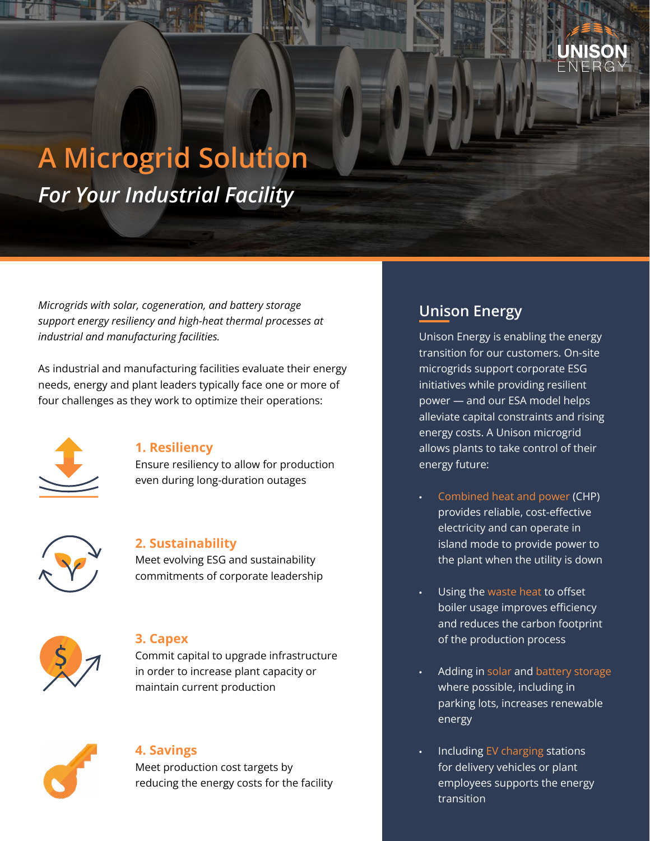

# **A Microgrid Solution** *For Your Industrial Facility*

*Microgrids with solar, cogeneration, and battery storage support energy resiliency and high-heat thermal processes at industrial and manufacturing facilities.*

As industrial and manufacturing facilities evaluate their energy needs, energy and plant leaders typically face one or more of four challenges as they work to optimize their operations:



## **1. Resiliency**

Ensure resiliency to allow for production even during long-duration outages



## **2. Sustainability**

Meet evolving ESG and sustainability commitments of corporate leadership



## **3. Capex**

Commit capital to upgrade infrastructure in order to increase plant capacity or maintain current production



## **4. Savings**

Meet production cost targets by reducing the energy costs for the facility

# **Unison Energy**

Unison Energy is enabling the energy transition for our customers. On-site microgrids support corporate ESG initiatives while providing resilient power — and our ESA model helps alleviate capital constraints and rising energy costs. A Unison microgrid allows plants to take control of their energy future:

- Combined heat and power (CHP) provides reliable, cost-effective electricity and can operate in island mode to provide power to the plant when the utility is down
- Using the waste heat to offset boiler usage improves efficiency and reduces the carbon footprint of the production process
- Adding in solar and battery storage where possible, including in parking lots, increases renewable energy
- Including EV charging stations for delivery vehicles or plant employees supports the energy transition